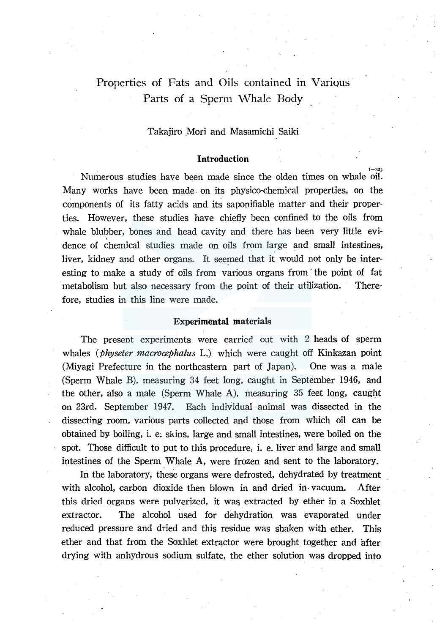# Properties of Fats and Oils contained in Various Parts of a Sperm Whale Body

#### Takajiro Mori and Masamichi Saiki

# **Introduction** . The contract of the contract of the contract of the contract of the contract of the contract of the contract of the contract of the contract of the contract of the contract of the contract of the contract

Numerous studies have been made since the olden times on whale oil. Many works have been made on its physico-chemical properties, on the components of its fatty acids and its saponifiable matter and their properties. However, these studies have chiefly been confined to the oils from whale blubber, bones and head cavity and there has been very little evidence of chemical studies made on oils from large and small intestines, liver, kidney and other organs. It seemed that it would not only be interesting to make a study of oils from various organs from the point of fat metabolism but also necessary from the point of their utilization. Therefore, studies in this line were made.

## Experimental materials

The present experiments were carried out with 2 heads of sperm whales (*physeter macrocephalus L.*) which were caught off Kinkazan point (Miyagi Prefecture in the northeastern part of Japan). One was a male (Sperm Whale B). measuring 34 feet long, caught in September 1946, and the other, also a male (Sperm Whale A), measuring  $35$  feet long, caught on 23rd. September 1947. Each individual animal was dissected in the dissecting room, various parts collected and those from which oil can be obtained by boiling, i. e; skins, large and small intestines, were boiled on the spot. Those difficult to put to this procedure, i. e. liver and large and small intestines of the Sperm Whale A, were frozen and sent to the laboratory.

In the laboratory, these organs were defrosted, dehydrated by treatment with alcohol, carbon dioxide then blown in and dried in vacuum. After this dried organs were pulverized, it was extracted by ether in a Soxhlet extractor. The alcohol used for dehydration was evaporated under reduced pressure and dried and this residue was shaken with ether. This ether and that from the Soxhlet extractor were brought together and after drying with anhydrous sodium sulfate, the ether solution was dropped into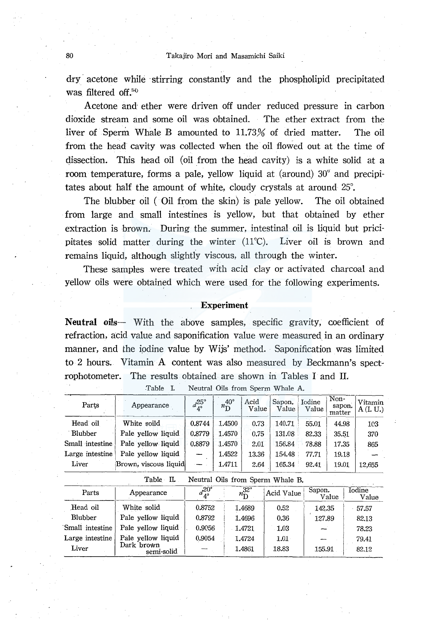dry acetone while stirring constantly and the phospholipid precipitated was filtered off.<sup>34)</sup>

Acetone and ether were driven off under reduced pressure in carbon dioxide stream and some oil was obtained. The ether extract from the liver of Sperm Whale B amounted to 11.73% of dried matter. The oil from the head cavity was collected when the oil flowed out at the time of dissection. This head oil (oil from the head cavity) is a white solid at a room temperature, forms a pale, yellow liquid at (around) 30° and precipitates about half the amount of white, cloudy crystals at around 25°.

The blubber oil ( Oil from the skin) is pale yellow. The oil obtained from large and small intestines is yellow, but that obtained by ether extraction is brown. During the summer, intestinal oil is liquid but pricipitates solid matter during the winter (11°C). Liver oil is brown and remains liquid, although slightly viscous, all through the winter.

These samples were treated with acid clay or activated charcoal and yellow oils were obtained which were used for the following experiments.

#### , **Experiment**

Neutral oils- With the above samples, specific gravity, coefficient of refraction, acid value and saponification value were measured in an ordinary manner, and the iodine value by Wijs' method. Saponification was limited to 2 hours. Vitamin A content was also measured by Beckmann's spectrophotometer. The results obtained are shown in Tables I and II.

| Parts                                         | Appearance               | $d^{\rm 25^\circ}_{4^\circ}$ | $n_{\rm D}^{40^\circ}$ | Acid<br>Value               | Sapon.<br>Value | Iodine<br>Value | Non-<br>sapon.<br>matter | Vitamin<br>A(I, U.)    |  |
|-----------------------------------------------|--------------------------|------------------------------|------------------------|-----------------------------|-----------------|-----------------|--------------------------|------------------------|--|
| Head oil                                      | White soild              | 0.8744                       | 1.4500                 | 0.73                        | 140.71          | 55.01           | 44.98                    | 103                    |  |
| Blubber                                       | Pale yellow liquid       | 0.8779                       | 1.4570                 | 0.75                        | 131.08          | 82.33           | 35.51                    | 370                    |  |
| Small intestine                               | Pale yellow liquid       | 0.8879                       | 14570                  | 2.01                        | 156.84          | 78.88           | 17.35                    | 865                    |  |
| Large intestine                               | Pale vellow liquid       |                              | 1.4522                 | 13.36                       | 154.48          | 77.71           | 19.18                    |                        |  |
| Liver                                         | Brown, viscous liquid    |                              | 1.4711                 | 2.64                        | 165.34          | 92.41           | 19.01                    | 12,655                 |  |
| Table II.<br>Neutral Oils from Sperm Whale B. |                          |                              |                        |                             |                 |                 |                          |                        |  |
| Parts                                         | Appearance               | $a_4^{20^{\circ}}$           |                        | $32^{\circ}$<br>$n_{\rm D}$ | Acid Value      | Sapon.          | Value                    | <b>Iodine</b><br>Value |  |
| Head oil                                      | White solid              | 0.8752                       |                        | 1.4689                      | 0.52            | 142.35          |                          | 57.57                  |  |
| <b>Blubber</b>                                | Pale yellow liquid       | 0.8792                       |                        | 1.4696                      | 0.36            | 127.89          |                          | 82.13                  |  |
| Small intestine                               | Pale yellow liquid       | 0.9056                       |                        | $-1.4721$                   | 1.03            |                 |                          | 78.23                  |  |
| Large intestine                               | Pale yellow liquid       | 0.9054                       |                        | 1.4724                      | 1.01            |                 |                          | 79.41                  |  |
| Liver                                         | Dark brown<br>semi-solid |                              |                        | 1.4861                      | 18.83           | 155.91          |                          | 82.12                  |  |

Table I. Neutral Oils from Sperm Whale A.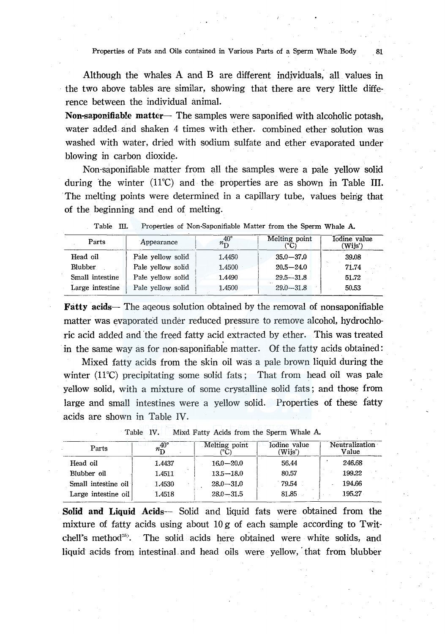Properties of Fats and Oils contained in Various Parts of a Sperm Whale Body . 81

Although the whales A and B are different individuals," all values in the two above tables are similar, showing that there are very little difference between the individual animal.

Non-saponifiable matter- The samples were saponified with alcoholic potash, water added and shaken 4 times with ether. combined ether solution was washed with water, dried with sodium sulfate and ether evaporated under blowing in carbon dioxide.

Non-saponifiable matter from all the samples were a pale yellow solid during the winter (11°C) and the properties are as shown in Table III. The melting points were determined in a capillary tube, values being that of the beginning and end of melting.

| Parts           | Appearance        | $40^{\circ}$<br>$n_{\overline{D}}$ | Melting point<br>(°C) | Iodine value<br>(Wijs') |  |
|-----------------|-------------------|------------------------------------|-----------------------|-------------------------|--|
| Head oil        | Pale yellow solid | 1.4450                             | $35.0 - 37.0$         | 39.08                   |  |
| <b>Blubber</b>  | Pale yellow solid | 1.4500                             | $20.5 - 24.0$         | 71.74                   |  |
| Small intestine | Pale yellow solid | 1.4490                             | $29.5 - 31.8$         | 51.72                   |  |
| Large intestine | Pale yellow solid | 1.4500                             | $29.0 - 31.8$         | 50.53                   |  |

|  |  |  | Properties of Non-Saponifiable Matter from the Sperm Whale A. |  |  |  |  |  |
|--|--|--|---------------------------------------------------------------|--|--|--|--|--|
|--|--|--|---------------------------------------------------------------|--|--|--|--|--|

**Fatty acids-** The aqeous solution obtained by the removal of nonsaponifiable matter was evaporated under reduced pressure to remove alcohol, hydrochloric acid added and the freed fatty acid extracted by ether. This was treated in the same way as for non-saponifiable matter. Of the fatty acids obtained:

Mixed fatty acids from the skin oil was a pale brown liquid during the winter (11°C) precipitating some solid fats ; That from head oil was pale yellow solid, with a mixture of some crystalline solid fats ; and those from large and small intestines were a yellow solid. Properties of these fatty acids are shown in Table IV.

| Parts               | $40^{\circ}$<br>$n_{\rm D}$ | Melting point<br>″°C. | Iodine value<br>'Wijs') | Neutralization<br>Value |  |  |
|---------------------|-----------------------------|-----------------------|-------------------------|-------------------------|--|--|
| Head oil            | 1.4437                      | $16.0 - 20.0$         | 56.44                   | 246.68                  |  |  |
| Blubber oil         | 1.4511                      | $13.5 - 18.0$         | 80.57                   | 199.22                  |  |  |
| Small intestine oil | 1.4530                      | $28.0 - 31.0$         | 79.54                   | 194.66                  |  |  |
| Large intestine oil | 1.4518                      | $28.0 - 31.5$         | 81.85                   | 195.27                  |  |  |

Table IV. Mixd Fatty Acids from the Sperm Whale A.

**Solid and Liquid Acids-** Solid and liquid fats were obtained from the mixture of fatty acids using about 10 g of each sample according to Twitchell's method<sup>35</sup>. The solid acids here obtained were white solids, and liquid acids from intestinal and head oils were yellow, that from blubber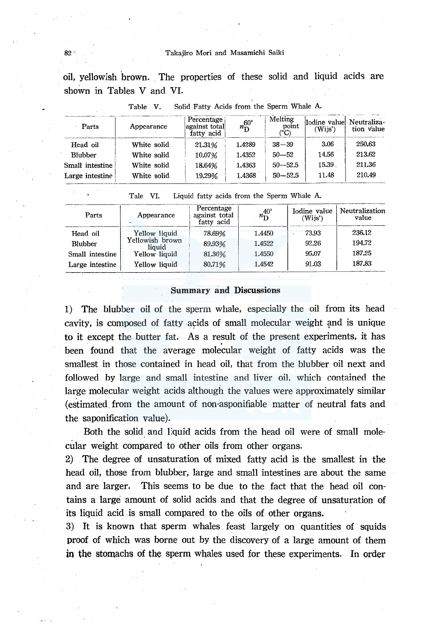oil, yellowish brown. The properties of these solid and liquid acids are shown in Tables V and VI.

| 1 avre<br>. .<br>$\sum_{i=1}^{n}$ |             |                                           |                             |                          |                         |                           |  |
|-----------------------------------|-------------|-------------------------------------------|-----------------------------|--------------------------|-------------------------|---------------------------|--|
| Parts                             | Appearance  | Percentage<br>against total<br>fatty acid | $n_{\mathrm{D}}^{60^\circ}$ | Melting<br>point<br>(°C) | Iodine value<br>(Wiis') | Neutraliza-<br>tion value |  |
| Head oil                          | White solid | 21.31%                                    | 1.4289                      | $38 - 39$                | 3.06                    | 250.63                    |  |
| <b>Blubber</b>                    | White solid | 10.07%                                    | 1.4352                      | $50 - 52$                | 14.56                   | 213.62                    |  |
| Small intestine                   | White solid | 18.64%                                    | 1.4363                      | $50 - 52.5$              | 15.39                   | 211.36                    |  |
| Large intestine                   | White solid | 19.29%                                    | 1.4368                      | $50 - 52.5$              | 11.48                   | 210.49                    |  |

Table V. Solid Fatty Acids from the Sperm Whale A.

Tale VI. Liquid fatty acids from the Sperm Whale A.

| Parts           | Appearance                | Percentage<br>against total<br>fatty acid | $n_{\rm D}^{40^\circ}$ | Iodine value  <br>(Wijs') | Neutralization<br>value |
|-----------------|---------------------------|-------------------------------------------|------------------------|---------------------------|-------------------------|
| Head oil        | Yellow liquid             | 78.69%                                    | 1.4450                 | 73.93                     | 236.12                  |
| <b>Blubber</b>  | Yellowish brown<br>liauid | 89.93%                                    | 1.4522                 | 92.26                     | 194.72                  |
| Small intestine | Yellow liquid             | 81.36%                                    | 1.4550                 | 95.07                     | 187.25                  |
| Large intestine | Yellow liquid             | 80.71%                                    | 1.4542                 | 91.03                     | 187.83                  |

#### Summary and Discussions

1) The blubber oil of the sperm whale, especially the oil from its head cavity, is composed of fatty acids of small molecular weight and is unique<br>to it except the butter fat. As a result of the present experiments, it has<br>been found that the average molecular weight of fatty acids was the smallest in those contained in head oil, that from the blubber oil next and followed by large and small intestine and liver oil, which contained the large molecular weight acids although the values were approximately similar (estimated\_ from the amount of non-asponifiable matter of neutral fats and the saponification value).

Both the solid and l:quid acids from the head oil were of small molecular weight compared to other oils from other organs.

2) The degree of unsaturation of mixed fatty acid is the smallest in the head oil, those from blubber, large and small intestines are about the same and are larger. This seems to be due to the fact that the head oil contains a large amount of solid acids and that the degree of unsaturation of its liquid acid is small compared to the oils of other organs.

3) It is known that sperm whales feast largely on quantities of squids proof of which was borne out by the discovery of a large amount of them in the stomachs of the sperm whales used for these experiments. In order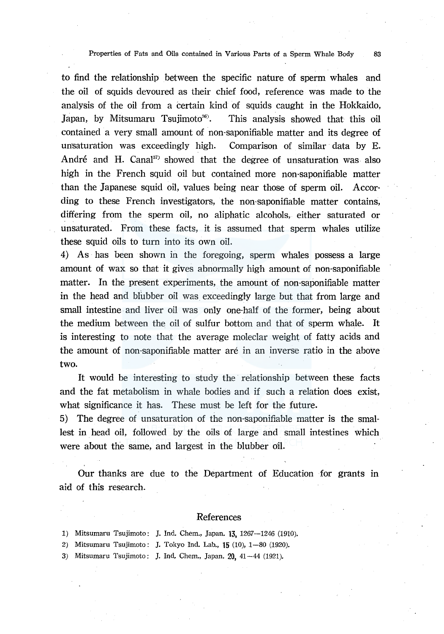Properties of Fats and Oils contained in Various Parts of a Sperm Whale Body 83

to find the relationship between the specific nature of sperm whales and the oil of squids devoured as their chief food, reference was made to the analysis of the oil from a certain kind of squids caught in the Hokkaido, Japan, by Mitsumaru Tsujimoto<sup>36</sup>. This analysis showed that this oil contained a very small amount of non-saponifiable matter and its degree of unsaturation was exceedingly high. Comparison of similar data by E. André and H. Canal $37$  showed that the degree of unsaturation was also high in the French squid oil but contained more non-saponifiable matter than the Japanese squid oil, values being near those of sperm oil. Accor· ding to these French investigators, the non-saponifiable matter contains, differing from the sperm oil, no aliphatic alcohols, either saturated or unsaturated. From these facts, it is assumed that sperm whales utilize these squid oils to turn into its own oil.

4) As has been shown in the foregoing, sperm whales possess a large amount of wax so that it gives abnormally high amount of non-saponifiable matter. In the present experiments, the amount of non-saponifiable matter in the head and blubber oil was exceedingly large but that from large and small intestine and liver oil was only one-half of the former, being about the medium between the oil of sulfur bottom and that of sperm whale. It is interesting to note that the average moleclar weight of fatty acids and the amount of non-saponifiable matter are in an inverse ratio in the above two.

It would be interesting to study the relationship between these facts and the fat metabolism in whale bodies and if such a relation does exist, what significance it has. These must be left for the future.

5) The degree of unsaturation of the non-saponifiable matter is the smallest in head oil, followed by the oils of large and small intestines which were about the same, and largest in the blubber oil.

Our thanks are due to the Department of Education for grants in aid of this research.

## References

- 1) Mitsumaru Tsujimoto: J. Ind. Chem., Japan. 13, 1267-1246 (1910).
- 2) Mitsumaru Tsujimoto: J. Tokyo Ind. Lab., 15 (10), 1-80 (1920).
- 3) Mitsumaru Tsujimoto: J. Ind, Chem., Japan. 20, 41-44 (1921).